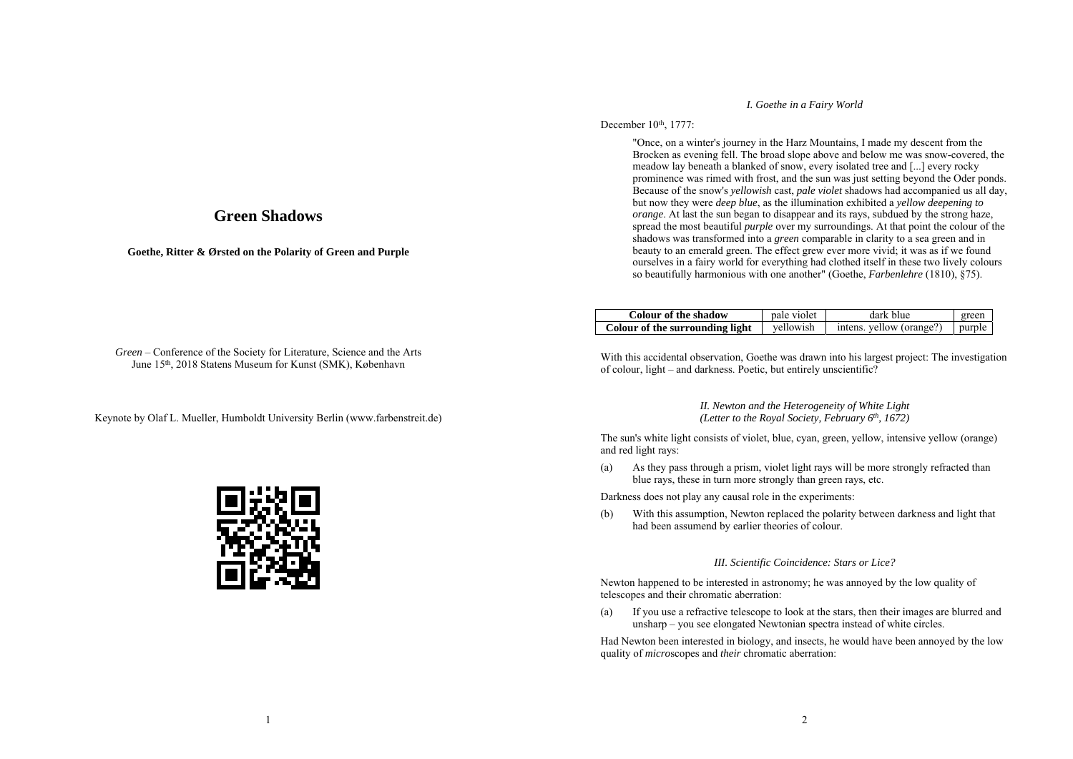## **Green Shadows**

**Goethe, Ritter & Ørsted on the Polarity of Green and Purple** 

### *I. Goethe in a Fairy World*

## December 10th, 1777:

 "Once, on a winter's journey in the Harz Mountains, I made my descent from the Brocken as evening fell. The broad slope above and below me was snow-covered, the meadow lay beneath a blanked of snow, every isolated tree and [...] every rocky prominence was rimed with frost, and the sun was just setting beyond the Oder ponds. Because of the snow's *yellowish* cast, *pale violet* shadows had accompanied us all day, but now they were *deep blue*, as the illumination exhibited a *yellow deepening to orange*. At last the sun began to disappear and its rays, subdued by the strong haze, spread the most beautiful *purple* over my surroundings. At that point the colour of the shadows was transformed into a *green* comparable in clarity to a sea green and in beauty to an emerald green. The effect grew ever more vivid; it was as if we found ourselves in a fairy world for everything had clothed itself in these two lively colours so beautifully harmonious with one another" (Goethe, *Farbenlehre* (1810), §75).

| Colour of the shadow            | pale violet | dark blue                | green  |
|---------------------------------|-------------|--------------------------|--------|
| Colour of the surrounding light | vellowish   | intens. yellow (orange?) | purple |

*Green* – Conference of the Society for Literature, Science and the Arts June 15th, 2018 Statens Museum for Kunst (SMK), København

Keynote by Olaf L. Mueller, Humboldt University Berlin (www.farbenstreit.de)



With this accidental observation, Goethe was drawn into his largest project: The investigation of colour, light – and darkness. Poetic, but entirely unscientific?

#### *II. Newton and the Heterogeneity of White Light (Letter to the Royal Society, February 6th, 1672)*

The sun's white light consists of violet, blue, cyan, green, yellow, intensive yellow (orange) and red light rays:

(a) As they pass through a prism, violet light rays will be more strongly refracted than blue rays, these in turn more strongly than green rays, etc.

Darkness does not play any causal role in the experiments:

(b) With this assumption, Newton replaced the polarity between darkness and light that had been assumend by earlier theories of colour.

## *III. Scientific Coincidence: Stars or Lice?*

Newton happened to be interested in astronomy; he was annoyed by the low quality of telescopes and their chromatic aberration:

(a) If you use a refractive telescope to look at the stars, then their images are blurred and unsharp – you see elongated Newtonian spectra instead of white circles.

Had Newton been interested in biology, and insects, he would have been annoyed by the low quality of *micro*scopes and *their* chromatic aberration: